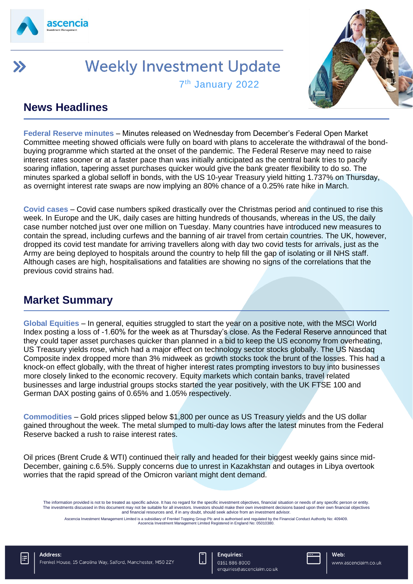

# **Weekly Investment Update**



#### 7<sup>th</sup> January 2022

## **News Headlines**

**Federal Reserve minutes** – Minutes released on Wednesday from December's Federal Open Market Committee meeting showed officials were fully on board with plans to accelerate the withdrawal of the bondbuying programme which started at the onset of the pandemic. The Federal Reserve may need to raise interest rates sooner or at a faster pace than was initially anticipated as the central bank tries to pacify soaring inflation, tapering asset purchases quicker would give the bank greater flexibility to do so. The minutes sparked a global selloff in bonds, with the US 10-year Treasury yield hitting 1.737% on Thursday, as overnight interest rate swaps are now implying an 80% chance of a 0.25% rate hike in March.

**Covid cases** – Covid case numbers spiked drastically over the Christmas period and continued to rise this week. In Europe and the UK, daily cases are hitting hundreds of thousands, whereas in the US, the daily case number notched just over one million on Tuesday. Many countries have introduced new measures to contain the spread, including curfews and the banning of air travel from certain countries. The UK, however, dropped its covid test mandate for arriving travellers along with day two covid tests for arrivals, just as the Army are being deployed to hospitals around the country to help fill the gap of isolating or ill NHS staff. Although cases are high, hospitalisations and fatalities are showing no signs of the correlations that the previous covid strains had.

# **Market Summary**

**Global Equities** – In general, equities struggled to start the year on a positive note, with the MSCI World Index posting a loss of -1.60% for the week as at Thursday's close. As the Federal Reserve announced that they could taper asset purchases quicker than planned in a bid to keep the US economy from overheating, US Treasury yields rose, which had a major effect on technology sector stocks globally. The US Nasdaq Composite index dropped more than 3% midweek as growth stocks took the brunt of the losses. This had a knock-on effect globally, with the threat of higher interest rates prompting investors to buy into businesses more closely linked to the economic recovery. Equity markets which contain banks, travel related businesses and large industrial groups stocks started the year positively, with the UK FTSE 100 and German DAX posting gains of 0.65% and 1.05% respectively.

**Commodities** – Gold prices slipped below \$1,800 per ounce as US Treasury yields and the US dollar gained throughout the week. The metal slumped to multi-day lows after the latest minutes from the Federal Reserve backed a rush to raise interest rates.

Oil prices (Brent Crude & WTI) continued their rally and headed for their biggest weekly gains since mid-December, gaining c.6.5%. Supply concerns due to unrest in Kazakhstan and outages in Libya overtook worries that the rapid spread of the Omicron variant might dent demand.

The information provided is not to be treated as specific advice. It has no regard for the specific investment objectives, financial situation or needs of any specific person or entity. The investments discussed in this document may not be suitable for all investors. Investors should make their own investment decisions based upon their own financial objectives<br>and financial resources and, if in any doubt,

Ascencia Investment Management Limited is a subsidiary of Frenkel Topping Group Plc and is authorised and regulated by the Financial Conduct Authority No: 409409.<br>Ascencia Investment Management Limited Registered in Engla

E



enquiries@ascenciaim.co.uk